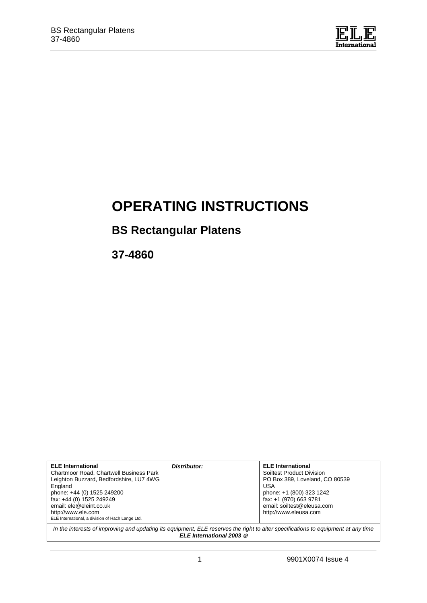

# **OPERATING INSTRUCTIONS**

# **BS Rectangular Platens**

**37-4860**

| <b>ELE</b> International<br>Chartmoor Road, Chartwell Business Park<br>Leighton Buzzard, Bedfordshire, LU7 4WG<br>England<br>phone: +44 (0) 1525 249200<br>fax: +44 (0) 1525 249249<br>email: ele@eleint.co.uk<br>http://www.ele.com<br>ELE International, a division of Hach Lange Ltd. | Distributor: | <b>ELE</b> International<br>Soiltest Product Division<br>PO Box 389, Loveland, CO 80539<br>USA<br>phone: +1 (800) 323 1242<br>fax: +1 (970) 663 9781<br>email: soiltest@eleusa.com<br>http://www.eleusa.com |  |
|------------------------------------------------------------------------------------------------------------------------------------------------------------------------------------------------------------------------------------------------------------------------------------------|--------------|-------------------------------------------------------------------------------------------------------------------------------------------------------------------------------------------------------------|--|
| In the interests of improving and updating its equipment, ELE reserves the right to alter specifications to equipment at any time<br>ELE International 2003 ©                                                                                                                            |              |                                                                                                                                                                                                             |  |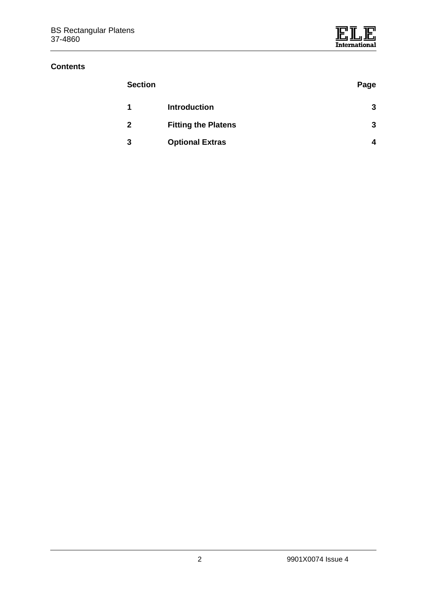## **Contents**

| <b>Section</b> |                            | Page |
|----------------|----------------------------|------|
| 1              | <b>Introduction</b>        | 3    |
| $\mathbf 2$    | <b>Fitting the Platens</b> | 3    |
| 3              | <b>Optional Extras</b>     | 4    |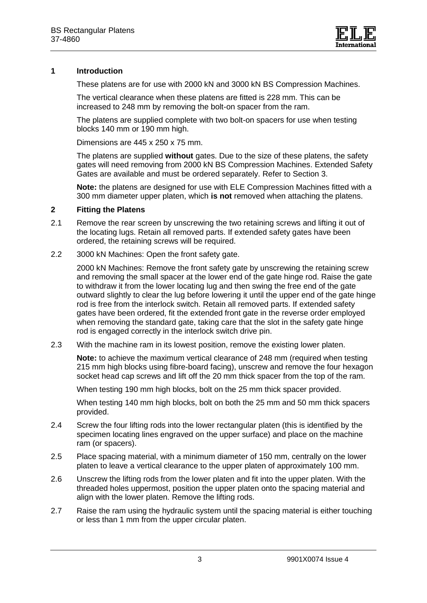

## **1 Introduction**

These platens are for use with 2000 kN and 3000 kN BS Compression Machines.

The vertical clearance when these platens are fitted is 228 mm. This can be increased to 248 mm by removing the bolt-on spacer from the ram.

The platens are supplied complete with two bolt-on spacers for use when testing blocks 140 mm or 190 mm high.

Dimensions are 445 x 250 x 75 mm.

The platens are supplied **without** gates. Due to the size of these platens, the safety gates will need removing from 2000 kN BS Compression Machines. Extended Safety Gates are available and must be ordered separately. Refer to Section 3.

**Note:** the platens are designed for use with ELE Compression Machines fitted with a 300 mm diameter upper platen, which **is not** removed when attaching the platens.

#### **2 Fitting the Platens**

- 2.1 Remove the rear screen by unscrewing the two retaining screws and lifting it out of the locating lugs. Retain all removed parts. If extended safety gates have been ordered, the retaining screws will be required.
- 2.2 3000 kN Machines: Open the front safety gate.

2000 kN Machines: Remove the front safety gate by unscrewing the retaining screw and removing the small spacer at the lower end of the gate hinge rod. Raise the gate to withdraw it from the lower locating lug and then swing the free end of the gate outward slightly to clear the lug before lowering it until the upper end of the gate hinge rod is free from the interlock switch. Retain all removed parts. If extended safety gates have been ordered, fit the extended front gate in the reverse order employed when removing the standard gate, taking care that the slot in the safety gate hinge rod is engaged correctly in the interlock switch drive pin.

2.3 With the machine ram in its lowest position, remove the existing lower platen.

**Note:** to achieve the maximum vertical clearance of 248 mm (required when testing 215 mm high blocks using fibre-board facing), unscrew and remove the four hexagon socket head cap screws and lift off the 20 mm thick spacer from the top of the ram.

When testing 190 mm high blocks, bolt on the 25 mm thick spacer provided.

When testing 140 mm high blocks, bolt on both the 25 mm and 50 mm thick spacers provided.

- 2.4 Screw the four lifting rods into the lower rectangular platen (this is identified by the specimen locating lines engraved on the upper surface) and place on the machine ram (or spacers).
- 2.5 Place spacing material, with a minimum diameter of 150 mm, centrally on the lower platen to leave a vertical clearance to the upper platen of approximately 100 mm.
- 2.6 Unscrew the lifting rods from the lower platen and fit into the upper platen. With the threaded holes uppermost, position the upper platen onto the spacing material and align with the lower platen. Remove the lifting rods.
- 2.7 Raise the ram using the hydraulic system until the spacing material is either touching or less than 1 mm from the upper circular platen.